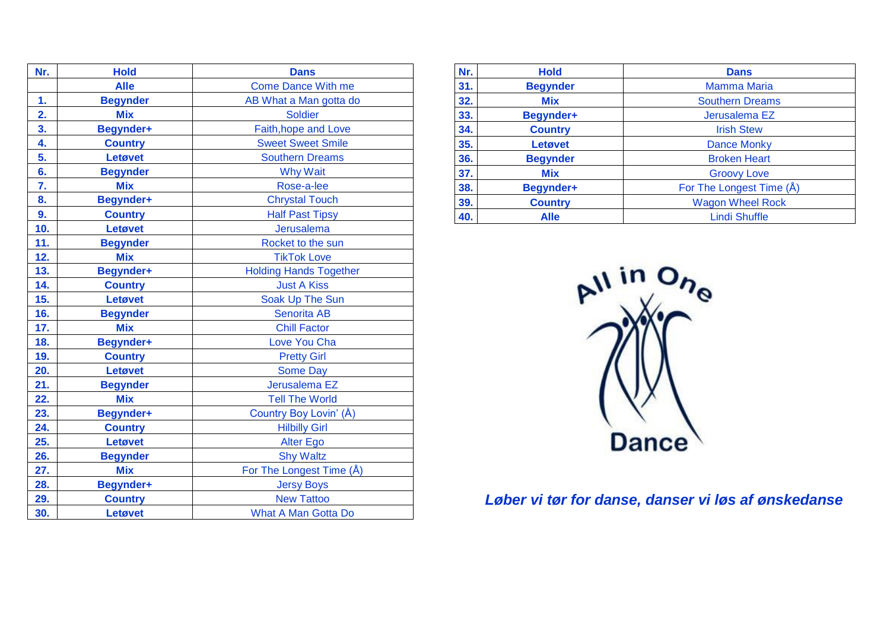| Nr. | <b>Hold</b>      | <b>Dans</b>                   |
|-----|------------------|-------------------------------|
|     | <b>Alle</b>      | <b>Come Dance With me</b>     |
| 1.  | <b>Begynder</b>  | AB What a Man gotta do        |
| 2.  | <b>Mix</b>       | <b>Soldier</b>                |
| 3.  | Begynder+        | Faith, hope and Love          |
| 4.  | <b>Country</b>   | <b>Sweet Sweet Smile</b>      |
| 5.  | Letøvet          | <b>Southern Dreams</b>        |
| 6.  | <b>Begynder</b>  | <b>Why Wait</b>               |
| 7.  | <b>Mix</b>       | Rose-a-lee                    |
| 8.  | <b>Begynder+</b> | <b>Chrystal Touch</b>         |
| 9.  | <b>Country</b>   | <b>Half Past Tipsy</b>        |
| 10. | Letøvet          | Jerusalema                    |
| 11. | <b>Begynder</b>  | Rocket to the sun             |
| 12. | <b>Mix</b>       | <b>TikTok Love</b>            |
| 13. | Begynder+        | <b>Holding Hands Together</b> |
| 14. | <b>Country</b>   | <b>Just A Kiss</b>            |
| 15. | Letøvet          | Soak Up The Sun               |
| 16. | <b>Begynder</b>  | <b>Senorita AB</b>            |
| 17. | <b>Mix</b>       | <b>Chill Factor</b>           |
| 18. | <b>Begynder+</b> | Love You Cha                  |
| 19. | <b>Country</b>   | <b>Pretty Girl</b>            |
| 20. | Letøvet          | <b>Some Day</b>               |
| 21. | <b>Begynder</b>  | Jerusalema EZ                 |
| 22. | <b>Mix</b>       | <b>Tell The World</b>         |
| 23. | <b>Begynder+</b> | Country Boy Lovin' (Å)        |
| 24. | <b>Country</b>   | <b>Hilbilly Girl</b>          |
| 25. | Letøvet          | <b>Alter Ego</b>              |
| 26. | <b>Begynder</b>  | <b>Shy Waltz</b>              |
| 27. | <b>Mix</b>       | For The Longest Time (Å)      |
| 28. | <b>Begynder+</b> | <b>Jersy Boys</b>             |
| 29. | <b>Country</b>   | <b>New Tattoo</b>             |
| 30. | Letøvet          | <b>What A Man Gotta Do</b>    |

| Nr. | <b>Hold</b>     | <b>Dans</b>              |
|-----|-----------------|--------------------------|
| 31. | <b>Begynder</b> | <b>Mamma Maria</b>       |
| 32. | <b>Mix</b>      | <b>Southern Dreams</b>   |
| 33. | Begynder+       | Jerusalema EZ            |
| 34. | <b>Country</b>  | <b>Irish Stew</b>        |
| 35. | Letøvet         | <b>Dance Monky</b>       |
| 36. | <b>Begynder</b> | <b>Broken Heart</b>      |
| 37. | <b>Mix</b>      | <b>Groovy Love</b>       |
| 38. | Begynder+       | For The Longest Time (Å) |
| 39. | <b>Country</b>  | <b>Wagon Wheel Rock</b>  |
| 40. | <b>Alle</b>     | <b>Lindi Shuffle</b>     |



*Løber vi tør for danse, danser vi løs af ønskedanse*